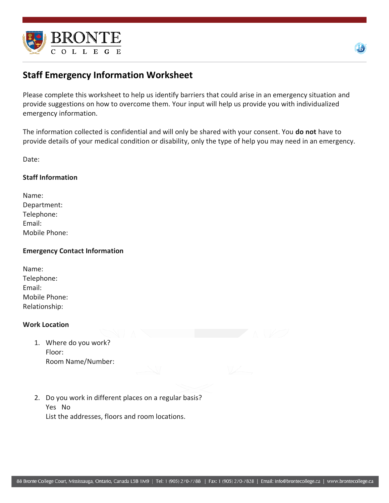



# **Staff Emergency Information Worksheet**

Please complete this worksheet to help us identify barriers that could arise in an emergency situation and provide suggestions on how to overcome them. Your input will help us provide you with individualized emergency information.

The information collected is confidential and will only be shared with your consent. You **do not** have to provide details of your medical condition or disability, only the type of help you may need in an emergency.

Date:

## **Staff Information**

| Name:         |
|---------------|
| Department:   |
| Telephone:    |
| Email:        |
| Mobile Phone: |

## **Emergency Contact Information**

| Name:         |  |
|---------------|--|
| Telephone:    |  |
| Email:        |  |
| Mobile Phone: |  |
| Relationship: |  |
|               |  |

## **Work Location**

- 1. Where do you work? Floor: Room Name/Number:
- 2. Do you work in different places on a regular basis? Yes No List the addresses, floors and room locations.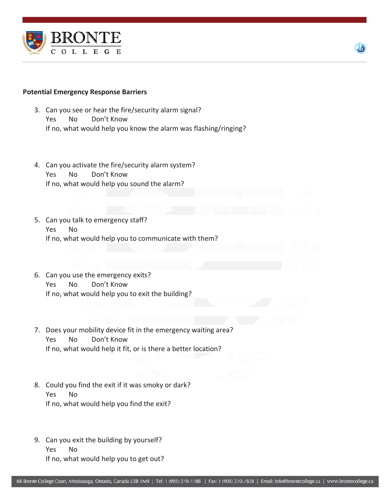

#### **Potential Emergency Response Barriers**

- 3. Can you see or hear the fire/security alarm signal? Yes No Don't Know If no, what would help you know the alarm was flashing/ringing?
- 4. Can you activate the fire/security alarm system? Yes No Don't Know If no, what would help you sound the alarm?
- 5. Can you talk to emergency staff? Yes No If no, what would help you to communicate with them?
- 6. Can you use the emergency exits? Yes No Don't Know If no, what would help you to exit the building?
- 7. Does your mobility device fit in the emergency waiting area? Yes No Don't Know If no, what would help it fit, or is there a better location?
- 8. Could you find the exit if it was smoky or dark? Yes No If no, what would help you find the exit?
- 9. Can you exit the building by yourself? Yes No If no, what would help you to get out?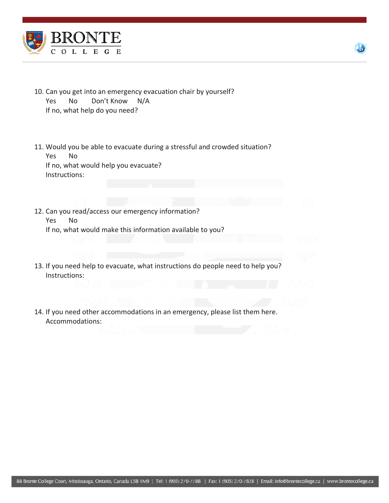



- 10. Can you get into an emergency evacuation chair by yourself? Yes No Don't Know N/A If no, what help do you need?
- 11. Would you be able to evacuate during a stressful and crowded situation? Yes No If no, what would help you evacuate? Instructions:
- 12. Can you read/access our emergency information? Yes No If no, what would make this information available to you?
- 13. If you need help to evacuate, what instructions do people need to help you? Instructions:
- 14. If you need other accommodations in an emergency, please list them here. Accommodations: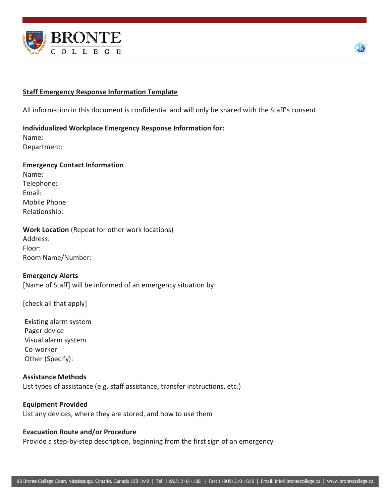



## **Staff Emergency Response Information Template**

All information in this document is confidential and will only be shared with the Staff's consent.

#### **Individualized Workplace Emergency Response Information for:**

Name: Department:

#### **Emergency Contact Information**

Name: Telephone: Email: Mobile Phone: Relationship:

## **Work Location** (Repeat for other work locations)

Address: Floor: Room Name/Number:

## **Emergency Alerts**

[Name of Staff] will be informed of an emergency situation by:

[check all that apply]

Existing alarm system Pager device Visual alarm system Co-worker Other (Specify):

## **Assistance Methods** List types of assistance (e.g. staff assistance, transfer instructions, etc.)

## **Equipment Provided** List any devices, where they are stored, and how to use them

#### **Evacuation Route and/or Procedure**

Provide a step-by-step description, beginning from the first sign of an emergency